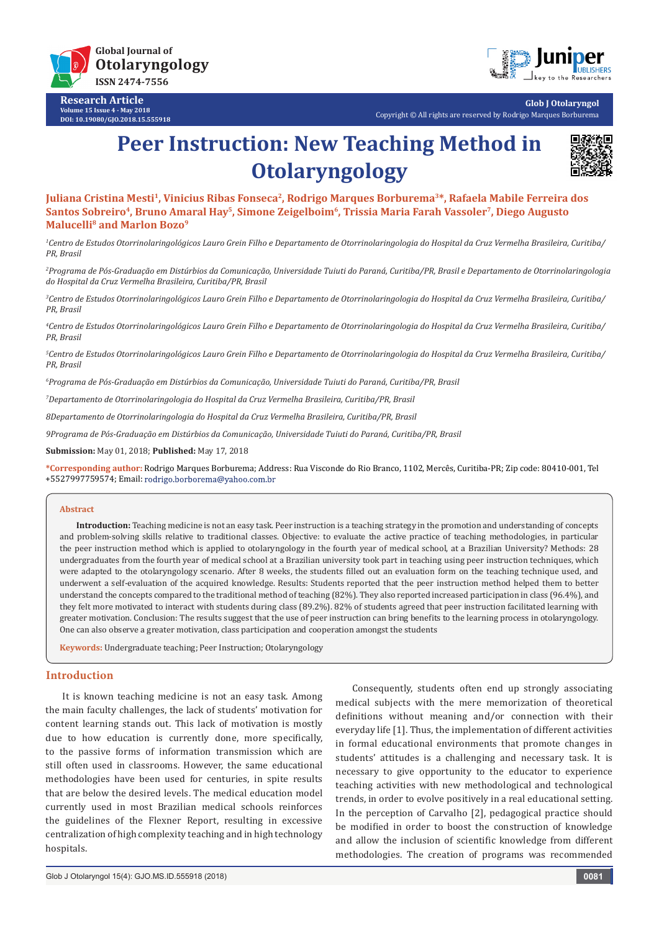

**Research Article Volume 15 Issue 4 - May 2018 DOI: [10.19080/GJO.2018.15.555918](http://dx.doi.org/10.19080/GJO.2018.15.555918)**



**Glob J Otolaryngol** Copyright © All rights are reserved by Rodrigo Marques Borburema

# **Peer Instruction: New Teaching Method in Otolaryngology**



Juliana Cristina Mesti<sup>1</sup>, Vinicius Ribas Fonseca<sup>2</sup>, Rodrigo Marques Borburema<sup>3\*</sup>, Rafaela Mabile Ferreira dos Santos Sobreiro<sup>4</sup>, Bruno Amaral Hay<sup>5</sup>, Simone Zeigelboim<sup>6</sup>, Trissia Maria Farah Vassoler<sup>7</sup>, Diego Augusto **Malucelli8 and Marlon Bozo9**

*1 Centro de Estudos Otorrinolaringológicos Lauro Grein Filho e Departamento de Otorrinolaringologia do Hospital da Cruz Vermelha Brasileira, Curitiba/ PR, Brasil*

*2 Programa de Pós-Graduação em Distúrbios da Comunicação, Universidade Tuiuti do Paraná, Curitiba/PR, Brasil e Departamento de Otorrinolaringologia do Hospital da Cruz Vermelha Brasileira, Curitiba/PR, Brasil*

*3 Centro de Estudos Otorrinolaringológicos Lauro Grein Filho e Departamento de Otorrinolaringologia do Hospital da Cruz Vermelha Brasileira, Curitiba/ PR, Brasil*

*4 Centro de Estudos Otorrinolaringológicos Lauro Grein Filho e Departamento de Otorrinolaringologia do Hospital da Cruz Vermelha Brasileira, Curitiba/ PR, Brasil*

*5 Centro de Estudos Otorrinolaringológicos Lauro Grein Filho e Departamento de Otorrinolaringologia do Hospital da Cruz Vermelha Brasileira, Curitiba/ PR, Brasil*

*6 Programa de Pós-Graduação em Distúrbios da Comunicação, Universidade Tuiuti do Paraná, Curitiba/PR, Brasil*

*7 Departamento de Otorrinolaringologia do Hospital da Cruz Vermelha Brasileira, Curitiba/PR, Brasil*

*8Departamento de Otorrinolaringologia do Hospital da Cruz Vermelha Brasileira, Curitiba/PR, Brasil*

*9Programa de Pós-Graduação em Distúrbios da Comunicação, Universidade Tuiuti do Paraná, Curitiba/PR, Brasil*

**Submission:** May 01, 2018; **Published:** May 17, 2018

**\*Corresponding author:** Rodrigo Marques Borburema; Address: Rua Visconde do Rio Branco, 1102, Mercês, Curitiba-PR; Zip code: 80410-001, Tel +5527997759574; Email:

#### **Abstract**

**Introduction:** Teaching medicine is not an easy task. Peer instruction is a teaching strategy in the promotion and understanding of concepts and problem-solving skills relative to traditional classes. Objective: to evaluate the active practice of teaching methodologies, in particular the peer instruction method which is applied to otolaryngology in the fourth year of medical school, at a Brazilian University? Methods: 28 undergraduates from the fourth year of medical school at a Brazilian university took part in teaching using peer instruction techniques, which were adapted to the otolaryngology scenario. After 8 weeks, the students filled out an evaluation form on the teaching technique used, and underwent a self-evaluation of the acquired knowledge. Results: Students reported that the peer instruction method helped them to better understand the concepts compared to the traditional method of teaching (82%). They also reported increased participation in class (96.4%), and they felt more motivated to interact with students during class (89.2%). 82% of students agreed that peer instruction facilitated learning with greater motivation. Conclusion: The results suggest that the use of peer instruction can bring benefits to the learning process in otolaryngology. One can also observe a greater motivation, class participation and cooperation amongst the students

**Keywords:** Undergraduate teaching; Peer Instruction; Otolaryngology

## **Introduction**

It is known teaching medicine is not an easy task. Among the main faculty challenges, the lack of students' motivation for content learning stands out. This lack of motivation is mostly due to how education is currently done, more specifically, to the passive forms of information transmission which are still often used in classrooms. However, the same educational methodologies have been used for centuries, in spite results that are below the desired levels. The medical education model currently used in most Brazilian medical schools reinforces the guidelines of the Flexner Report, resulting in excessive centralization of high complexity teaching and in high technology hospitals.

Consequently, students often end up strongly associating medical subjects with the mere memorization of theoretical definitions without meaning and/or connection with their everyday life [1]. Thus, the implementation of different activities in formal educational environments that promote changes in students' attitudes is a challenging and necessary task. It is necessary to give opportunity to the educator to experience teaching activities with new methodological and technological trends, in order to evolve positively in a real educational setting. In the perception of Carvalho [2], pedagogical practice should be modified in order to boost the construction of knowledge and allow the inclusion of scientific knowledge from different methodologies. The creation of programs was recommended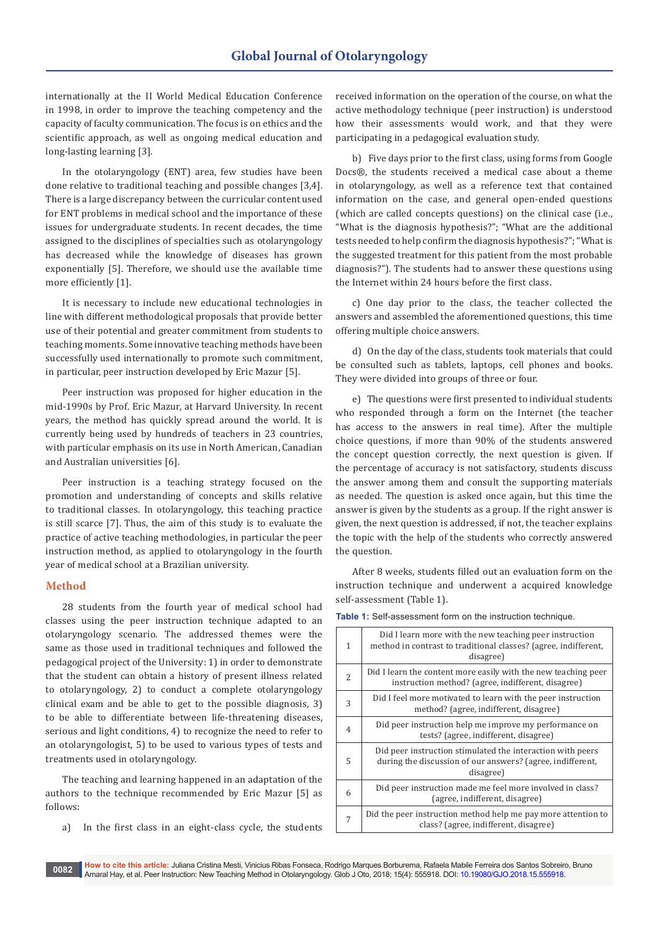internationally at the II World Medical Education Conference in 1998, in order to improve the teaching competency and the capacity of faculty communication. The focus is on ethics and the scientific approach, as well as ongoing medical education and long-lasting learning [3].

In the otolaryngology (ENT) area, few studies have been done relative to traditional teaching and possible changes [3,4]. There is a large discrepancy between the curricular content used for ENT problems in medical school and the importance of these issues for undergraduate students. In recent decades, the time assigned to the disciplines of specialties such as otolaryngology has decreased while the knowledge of diseases has grown exponentially [5]. Therefore, we should use the available time more efficiently [1].

It is necessary to include new educational technologies in line with different methodological proposals that provide better use of their potential and greater commitment from students to teaching moments. Some innovative teaching methods have been successfully used internationally to promote such commitment, in particular, peer instruction developed by Eric Mazur [5].

Peer instruction was proposed for higher education in the mid-1990s by Prof. Eric Mazur, at Harvard University. In recent years, the method has quickly spread around the world. It is currently being used by hundreds of teachers in 23 countries, with particular emphasis on its use in North American, Canadian and Australian universities [6].

Peer instruction is a teaching strategy focused on the promotion and understanding of concepts and skills relative to traditional classes. In otolaryngology, this teaching practice is still scarce [7]. Thus, the aim of this study is to evaluate the practice of active teaching methodologies, in particular the peer instruction method, as applied to otolaryngology in the fourth year of medical school at a Brazilian university.

## **Method**

28 students from the fourth year of medical school had classes using the peer instruction technique adapted to an otolaryngology scenario. The addressed themes were the same as those used in traditional techniques and followed the pedagogical project of the University: 1) in order to demonstrate that the student can obtain a history of present illness related to otolaryngology, 2) to conduct a complete otolaryngology clinical exam and be able to get to the possible diagnosis, 3) to be able to differentiate between life-threatening diseases, serious and light conditions, 4) to recognize the need to refer to an otolaryngologist, 5) to be used to various types of tests and treatments used in otolaryngology.

The teaching and learning happened in an adaptation of the authors to the technique recommended by Eric Mazur [5] as follows:

a) In the first class in an eight-class cycle, the students

received information on the operation of the course, on what the active methodology technique (peer instruction) is understood how their assessments would work, and that they were participating in a pedagogical evaluation study.

b) Five days prior to the first class, using forms from Google Docs®, the students received a medical case about a theme in otolaryngology, as well as a reference text that contained information on the case, and general open-ended questions (which are called concepts questions) on the clinical case (i.e., "What is the diagnosis hypothesis?"; "What are the additional tests needed to help confirm the diagnosis hypothesis?"; "What is the suggested treatment for this patient from the most probable diagnosis?"). The students had to answer these questions using the Internet within 24 hours before the first class.

c) One day prior to the class, the teacher collected the answers and assembled the aforementioned questions, this time offering multiple choice answers.

d) On the day of the class, students took materials that could be consulted such as tablets, laptops, cell phones and books. They were divided into groups of three or four.

e) The questions were first presented to individual students who responded through a form on the Internet (the teacher has access to the answers in real time). After the multiple choice questions, if more than 90% of the students answered the concept question correctly, the next question is given. If the percentage of accuracy is not satisfactory, students discuss the answer among them and consult the supporting materials as needed. The question is asked once again, but this time the answer is given by the students as a group. If the right answer is given, the next question is addressed, if not, the teacher explains the topic with the help of the students who correctly answered the question.

After 8 weeks, students filled out an evaluation form on the instruction technique and underwent a acquired knowledge self-assessment (Table 1).

| 1              | Did I learn more with the new teaching peer instruction<br>method in contrast to traditional classes? (agree, indifferent,<br>disagree) |  |
|----------------|-----------------------------------------------------------------------------------------------------------------------------------------|--|
| $\overline{2}$ | Did I learn the content more easily with the new teaching peer<br>instruction method? (agree, indifferent, disagree)                    |  |
| 3              | Did I feel more motivated to learn with the peer instruction<br>method? (agree, indifferent, disagree)                                  |  |
| $\overline{4}$ | Did peer instruction help me improve my performance on<br>tests? (agree, indifferent, disagree)                                         |  |
| 5              | Did peer instruction stimulated the interaction with peers<br>during the discussion of our answers? (agree, indifferent,<br>disagree)   |  |
| 6              | Did peer instruction made me feel more involved in class?<br>(agree, indifferent, disagree)                                             |  |
| 7              | Did the peer instruction method help me pay more attention to<br>class? (agree, indifferent, disagree)                                  |  |

**Table 1:** Self-assessment form on the instruction technique.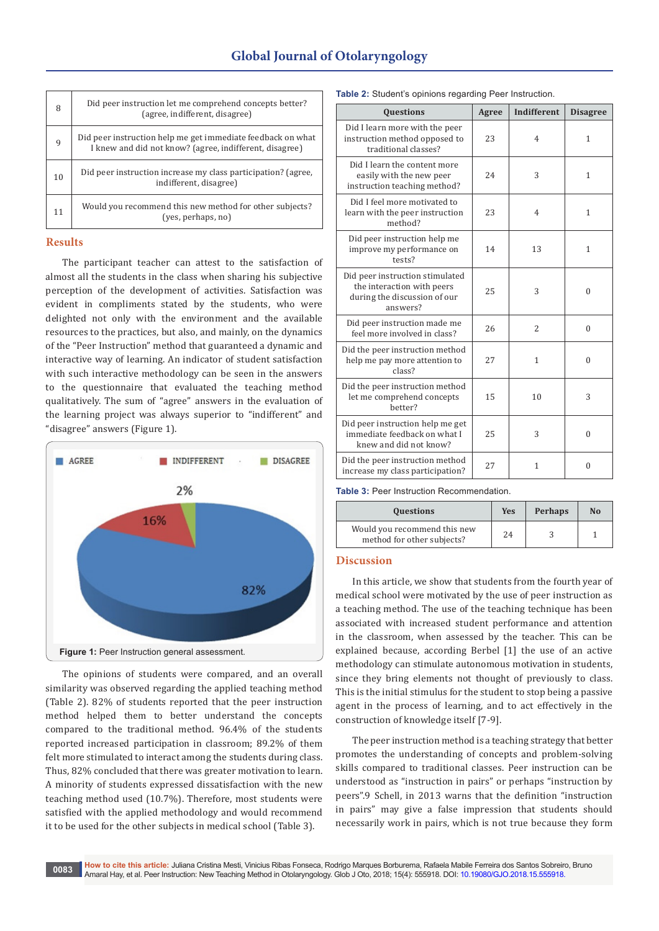| 8  | Did peer instruction let me comprehend concepts better?<br>(agree, indifferent, disagree)                              |
|----|------------------------------------------------------------------------------------------------------------------------|
| 9  | Did peer instruction help me get immediate feedback on what<br>I knew and did not know? (agree, indifferent, disagree) |
| 10 | Did peer instruction increase my class participation? (agree,<br>indifferent, disagree)                                |
| 11 | Would you recommend this new method for other subjects?<br>(yes, perhaps, no)                                          |

### **Results**

The participant teacher can attest to the satisfaction of almost all the students in the class when sharing his subjective perception of the development of activities. Satisfaction was evident in compliments stated by the students, who were delighted not only with the environment and the available resources to the practices, but also, and mainly, on the dynamics of the "Peer Instruction" method that guaranteed a dynamic and interactive way of learning. An indicator of student satisfaction with such interactive methodology can be seen in the answers to the questionnaire that evaluated the teaching method qualitatively. The sum of "agree" answers in the evaluation of the learning project was always superior to "indifferent" and "disagree" answers (Figure 1).



The opinions of students were compared, and an overall similarity was observed regarding the applied teaching method (Table 2). 82% of students reported that the peer instruction method helped them to better understand the concepts compared to the traditional method. 96.4% of the students reported increased participation in classroom; 89.2% of them felt more stimulated to interact among the students during class. Thus, 82% concluded that there was greater motivation to learn. A minority of students expressed dissatisfaction with the new teaching method used (10.7%). Therefore, most students were satisfied with the applied methodology and would recommend it to be used for the other subjects in medical school (Table 3).

| Table 2: Student's opinions regarding Peer Instruction. |  |  |
|---------------------------------------------------------|--|--|
|---------------------------------------------------------|--|--|

| Questions                                                                                                 | Agree | <b>Indifferent</b> |                 |  |
|-----------------------------------------------------------------------------------------------------------|-------|--------------------|-----------------|--|
|                                                                                                           |       |                    | <b>Disagree</b> |  |
| Did I learn more with the peer<br>instruction method opposed to<br>traditional classes?                   | 23    | $\overline{4}$     | $\mathbf{1}$    |  |
| Did I learn the content more<br>easily with the new peer<br>instruction teaching method?                  | 24    | 3                  | 1               |  |
| Did I feel more motivated to<br>learn with the peer instruction<br>method?                                | 23    | $\overline{4}$     | 1               |  |
| Did peer instruction help me<br>improve my performance on<br>tests?                                       | 14    | 13                 | $\mathbf{1}$    |  |
| Did peer instruction stimulated<br>the interaction with peers<br>during the discussion of our<br>answers? | 25    | 3                  | $\theta$        |  |
| Did peer instruction made me<br>feel more involved in class?                                              | 26    | $\overline{2}$     | $\theta$        |  |
| Did the peer instruction method<br>help me pay more attention to<br>class?                                | 27    | $\mathbf{1}$       | $\Omega$        |  |
| Did the peer instruction method<br>let me comprehend concepts<br>hetter?                                  | 15    | 10                 | 3               |  |
| Did peer instruction help me get<br>immediate feedback on what I<br>knew and did not know?                | 25    | 3                  | $\theta$        |  |
| Did the peer instruction method<br>increase my class participation?                                       | 27    | $\mathbf{1}$       | 0               |  |

**Table 3:** Peer Instruction Recommendation.

| <b>Questions</b>                                           | <b>Yes</b> | <b>Perhaps</b> | N <sub>0</sub> |
|------------------------------------------------------------|------------|----------------|----------------|
| Would you recommend this new<br>method for other subjects? | 24         |                |                |

#### **Discussion**

In this article, we show that students from the fourth year of medical school were motivated by the use of peer instruction as a teaching method. The use of the teaching technique has been associated with increased student performance and attention in the classroom, when assessed by the teacher. This can be explained because, according Berbel [1] the use of an active methodology can stimulate autonomous motivation in students, since they bring elements not thought of previously to class. This is the initial stimulus for the student to stop being a passive agent in the process of learning, and to act effectively in the construction of knowledge itself [7-9].

The peer instruction method is a teaching strategy that better promotes the understanding of concepts and problem-solving skills compared to traditional classes. Peer instruction can be understood as "instruction in pairs" or perhaps "instruction by peers".9 Schell, in 2013 warns that the definition "instruction in pairs" may give a false impression that students should necessarily work in pairs, which is not true because they form